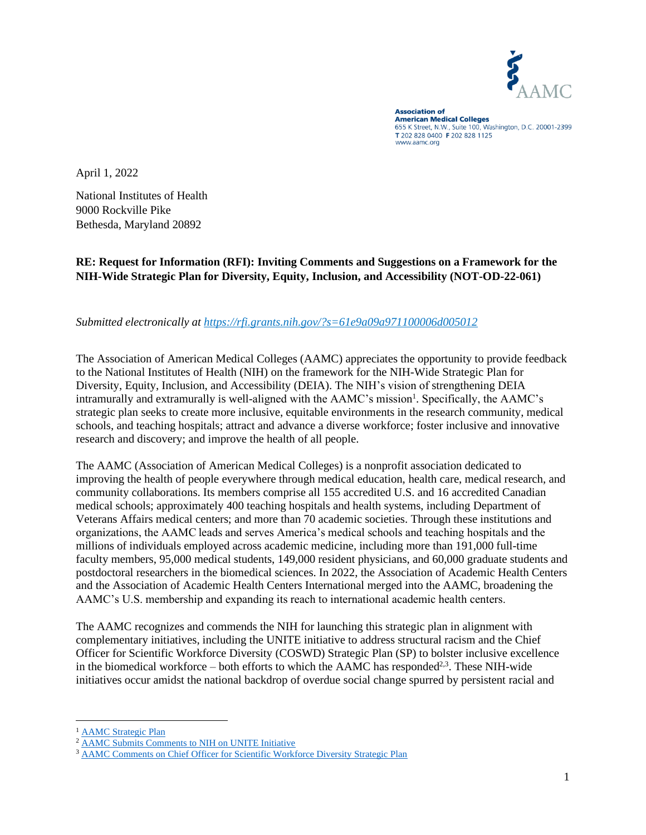

**Association of American Medical Colleges** 655 K Street, N.W., Suite 100, Washington, D.C. 20001-2399 T 202 828 0400 F 202 828 1125 www.aamc.org

April 1, 2022

National Institutes of Health 9000 Rockville Pike Bethesda, Maryland 20892

**RE: Request for Information (RFI): Inviting Comments and Suggestions on a Framework for the NIH-Wide Strategic Plan for Diversity, Equity, Inclusion, and Accessibility (NOT-OD-22-061)**

#### *Submitted electronically at <https://rfi.grants.nih.gov/?s=61e9a09a971100006d005012>*

The Association of American Medical Colleges (AAMC) appreciates the opportunity to provide feedback to the National Institutes of Health (NIH) on the framework for the NIH-Wide Strategic Plan for Diversity, Equity, Inclusion, and Accessibility (DEIA). The NIH's vision of strengthening DEIA intramurally and extramurally is well-aligned with the AAMC's mission<sup>1</sup>. Specifically, the AAMC's strategic plan seeks to create more inclusive, equitable environments in the research community, medical schools, and teaching hospitals; attract and advance a diverse workforce; foster inclusive and innovative research and discovery; and improve the health of all people.

The AAMC (Association of American Medical Colleges) is a nonprofit association dedicated to improving the health of people everywhere through medical education, health care, medical research, and community collaborations. Its members comprise all 155 accredited U.S. and 16 accredited Canadian medical schools; approximately 400 teaching hospitals and health systems, including Department of Veterans Affairs medical centers; and more than 70 academic societies. Through these institutions and organizations, the AAMC leads and serves America's medical schools and teaching hospitals and the millions of individuals employed across academic medicine, including more than 191,000 full-time faculty members, 95,000 medical students, 149,000 resident physicians, and 60,000 graduate students and postdoctoral researchers in the biomedical sciences. In 2022, the Association of Academic Health Centers and the Association of Academic Health Centers International merged into the AAMC, broadening the AAMC's U.S. membership and expanding its reach to international academic health centers.

The AAMC recognizes and commends the NIH for launching this strategic plan in alignment with complementary initiatives, including the UNITE initiative to address structural racism and the Chief Officer for Scientific Workforce Diversity (COSWD) Strategic Plan (SP) to bolster inclusive excellence in the biomedical workforce  $-$  both efforts to which the AAMC has responded<sup>2,3</sup>. These NIH-wide initiatives occur amidst the national backdrop of overdue social change spurred by persistent racial and

<sup>&</sup>lt;sup>1</sup> [AAMC Strategic Plan](https://www.aamc.org/what-we-do/strategic-plan/healthier-future-all-aamc-strategic-plan)

<sup>2</sup> [AAMC Submits Comments to NIH on UNITE Initiative](https://www.aamc.org/advocacy-policy/washington-highlights/aamc-submits-comments-nih-unite-initiative)

<sup>&</sup>lt;sup>3</sup> [AAMC Comments on Chief Officer for Scientific Workforce Diversity Strategic Plan](https://www.aamc.org/advocacy-policy/washington-highlights/aamc-comments-chief-officer-scientific-workforce-diversity-strategic-plan)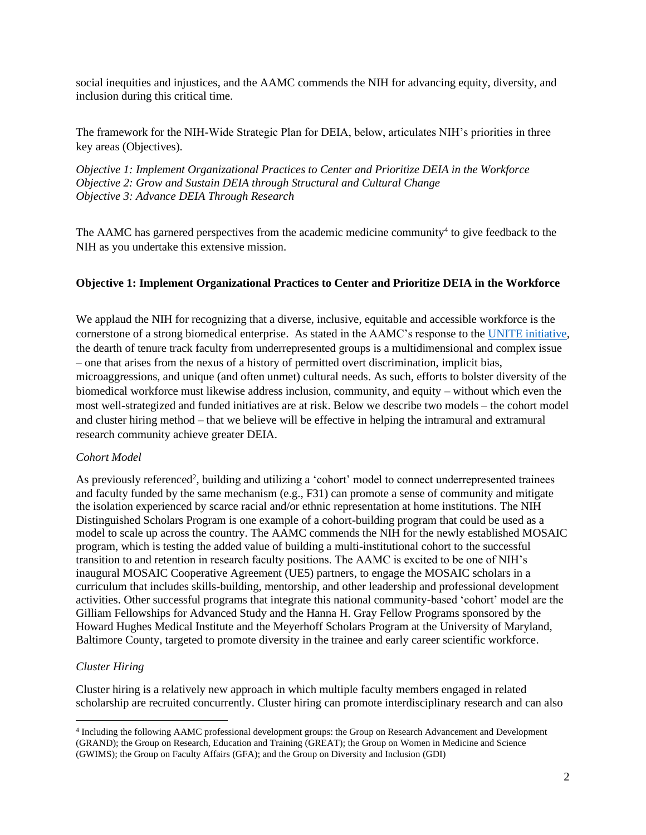social inequities and injustices, and the AAMC commends the NIH for advancing equity, diversity, and inclusion during this critical time.

The framework for the NIH-Wide Strategic Plan for DEIA, below, articulates NIH's priorities in three key areas (Objectives).

*Objective 1: Implement Organizational Practices to Center and Prioritize DEIA in the Workforce Objective 2: Grow and Sustain DEIA through Structural and Cultural Change Objective 3: Advance DEIA Through Research*

The AAMC has garnered perspectives from the academic medicine community<sup>4</sup> to give feedback to the NIH as you undertake this extensive mission.

## **Objective 1: Implement Organizational Practices to Center and Prioritize DEIA in the Workforce**

We applaud the NIH for recognizing that a diverse, inclusive, equitable and accessible workforce is the cornerstone of a strong biomedical enterprise. As stated in the AAMC's response to the [UNITE initiative,](https://www.aamc.org/media/52231/download?attachment) the dearth of tenure track faculty from underrepresented groups is a multidimensional and complex issue – one that arises from the nexus of a history of permitted overt discrimination, implicit bias, microaggressions, and unique (and often unmet) cultural needs. As such, efforts to bolster diversity of the biomedical workforce must likewise address inclusion, community, and equity – without which even the most well-strategized and funded initiatives are at risk. Below we describe two models – the cohort model and cluster hiring method – that we believe will be effective in helping the intramural and extramural research community achieve greater DEIA.

#### *Cohort Model*

As previously referenced<sup>2</sup>, building and utilizing a 'cohort' model to connect underrepresented trainees and faculty funded by the same mechanism (e.g., F31) can promote a sense of community and mitigate the isolation experienced by scarce racial and/or ethnic representation at home institutions. The NIH Distinguished Scholars Program is one example of a cohort-building program that could be used as a model to scale up across the country. The AAMC commends the NIH for the newly established MOSAIC program, which is testing the added value of building a multi-institutional cohort to the successful transition to and retention in research faculty positions. The AAMC is excited to be one of NIH's inaugural MOSAIC Cooperative Agreement (UE5) partners, to engage the MOSAIC scholars in a curriculum that includes skills-building, mentorship, and other leadership and professional development activities. Other successful programs that integrate this national community-based 'cohort' model are the Gilliam Fellowships for Advanced Study and the Hanna H. Gray Fellow Programs sponsored by the Howard Hughes Medical Institute and the Meyerhoff Scholars Program at the University of Maryland, Baltimore County, targeted to promote diversity in the trainee and early career scientific workforce.

#### *Cluster Hiring*

Cluster hiring is a relatively new approach in which multiple faculty members engaged in related scholarship are recruited concurrently. Cluster hiring can promote interdisciplinary research and can also

<sup>4</sup> Including the following AAMC professional development groups: the Group on Research Advancement and Development (GRAND); the Group on Research, Education and Training (GREAT); the Group on Women in Medicine and Science (GWIMS); the Group on Faculty Affairs (GFA); and the Group on Diversity and Inclusion (GDI)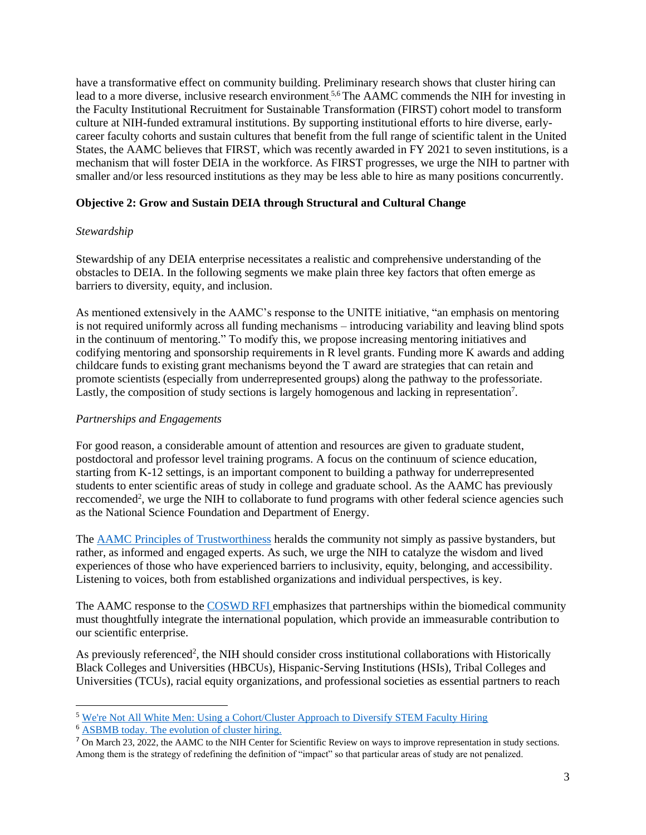have a transformative effect on community building. Preliminary research shows that cluster hiring can lead to a more diverse, inclusive research environment.<sup>5,6</sup> The AAMC commends the NIH for investing in the Faculty Institutional Recruitment for Sustainable Transformation (FIRST) cohort model to transform culture at NIH-funded extramural institutions. By supporting institutional efforts to hire diverse, earlycareer faculty cohorts and sustain cultures that benefit from the full range of scientific talent in the United States, the AAMC believes that FIRST, which was recently awarded in FY 2021 to seven institutions, is a mechanism that will foster DEIA in the workforce. As FIRST progresses, we urge the NIH to partner with smaller and/or less resourced institutions as they may be less able to hire as many positions concurrently.

## **Objective 2: Grow and Sustain DEIA through Structural and Cultural Change**

#### *Stewardship*

Stewardship of any DEIA enterprise necessitates a realistic and comprehensive understanding of the obstacles to DEIA. In the following segments we make plain three key factors that often emerge as barriers to diversity, equity, and inclusion.

As mentioned extensively in the AAMC's response to the UNITE initiative, "an emphasis on mentoring is not required uniformly across all funding mechanisms – introducing variability and leaving blind spots in the continuum of mentoring." To modify this, we propose increasing mentoring initiatives and codifying mentoring and sponsorship requirements in R level grants. Funding more K awards and adding childcare funds to existing grant mechanisms beyond the T award are strategies that can retain and promote scientists (especially from underrepresented groups) along the pathway to the professoriate. Lastly, the composition of study sections is largely homogenous and lacking in representation<sup>7</sup>.

#### *Partnerships and Engagements*

For good reason, a considerable amount of attention and resources are given to graduate student, postdoctoral and professor level training programs. A focus on the continuum of science education, starting from K-12 settings, is an important component to building a pathway for underrepresented students to enter scientific areas of study in college and graduate school. As the AAMC has previously reccomended<sup>2</sup>, we urge the NIH to collaborate to fund programs with other federal science agencies such as the National Science Foundation and Department of Energy.

The [AAMC Principles of Trustworthiness](https://www.aamchealthjustice.org/resources/trustworthiness-toolkit#principles) heralds the community not simply as passive bystanders, but rather, as informed and engaged experts. As such, we urge the NIH to catalyze the wisdom and lived experiences of those who have experienced barriers to inclusivity, equity, belonging, and accessibility. Listening to voices, both from established organizations and individual perspectives, is key.

The AAMC response to the [COSWD RFI e](https://www.aamc.org/media/58846/download?attachment)mphasizes that partnerships within the biomedical community must thoughtfully integrate the international population, which provide an immeasurable contribution to our scientific enterprise.

As previously referenced<sup>2</sup>, the NIH should consider cross institutional collaborations with Historically Black Colleges and Universities (HBCUs), Hispanic-Serving Institutions (HSIs), Tribal Colleges and Universities (TCUs), racial equity organizations, and professional societies as essential partners to reach

<sup>5</sup> [We're Not All White Men: Using a Cohort/Cluster Approach to Diversify STEM Faculty Hiring](https://eric.ed.gov/?id=EJ1115566)

<sup>6</sup> [ASBMB today. The evolution of cluster hiring.](https://www.asbmb.org/asbmb-today/careers/022322/the-evolution-of-cluster-hiring)

 $\sqrt{7}$  On March 23, 2022, the AAMC to the NIH Center for Scientific Review on ways to improve representation in study sections. Among them is the strategy of redefining the definition of "impact" so that particular areas of study are not penalized.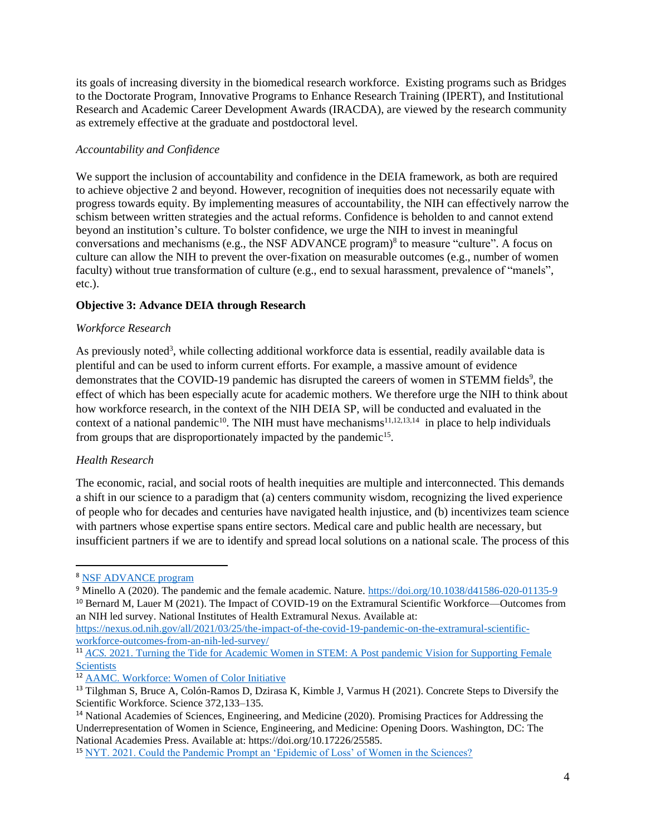its goals of increasing diversity in the biomedical research workforce. Existing programs such as Bridges to the Doctorate Program, Innovative Programs to Enhance Research Training (IPERT), and Institutional Research and Academic Career Development Awards (IRACDA), are viewed by the research community as extremely effective at the graduate and postdoctoral level.

## *Accountability and Confidence*

We support the inclusion of accountability and confidence in the DEIA framework, as both are required to achieve objective 2 and beyond. However, recognition of inequities does not necessarily equate with progress towards equity. By implementing measures of accountability, the NIH can effectively narrow the schism between written strategies and the actual reforms. Confidence is beholden to and cannot extend beyond an institution's culture. To bolster confidence, we urge the NIH to invest in meaningful conversations and mechanisms (e.g., the NSF ADVANCE program) $\delta$  to measure "culture". A focus on culture can allow the NIH to prevent the over-fixation on measurable outcomes (e.g., number of women faculty) without true transformation of culture (e.g., end to sexual harassment, prevalence of "manels", etc.).

## **Objective 3: Advance DEIA through Research**

## *Workforce Research*

As previously noted<sup>3</sup>, while collecting additional workforce data is essential, readily available data is plentiful and can be used to inform current efforts. For example, a massive amount of evidence demonstrates that the COVID-19 pandemic has disrupted the careers of women in STEMM fields<sup>9</sup>, the effect of which has been especially acute for academic mothers. We therefore urge the NIH to think about how workforce research, in the context of the NIH DEIA SP, will be conducted and evaluated in the context of a national pandemic<sup>10</sup>. The NIH must have mechanisms<sup>11,12,13,14</sup> in place to help individuals from groups that are disproportionately impacted by the pandemic<sup>15</sup>.

# *Health Research*

The economic, racial, and social roots of health inequities are multiple and interconnected. This demands a shift in our science to a paradigm that (a) centers community wisdom, recognizing the lived experience of people who for decades and centuries have navigated health injustice, and (b) incentivizes team science with partners whose expertise spans entire sectors. Medical care and public health are necessary, but insufficient partners if we are to identify and spread local solutions on a national scale. The process of this

<sup>8</sup> [NSF ADVANCE program](https://beta.nsf.gov/funding/opportunities/advance-organizational-change-gender-equity-stem-academic-professions-advance)

<sup>&</sup>lt;sup>9</sup> Minello A (2020). The pandemic and the female academic. Nature.<https://doi.org/10.1038/d41586-020-01135-9>

<sup>10</sup> Bernard M, Lauer M (2021). The Impact of COVID-19 on the Extramural Scientific Workforce—Outcomes from an NIH led survey. National Institutes of Health Extramural Nexus. Available at:

[https://nexus.od.nih.gov/all/2021/03/25/the-impact-of-the-covid-19-pandemic-on-the-extramural-scientific](https://nexus.od.nih.gov/all/2021/03/25/the-impact-of-the-covid-19-pandemic-on-the-extramural-scientific-workforce-outcomes-from-an-nih-led-survey/)[workforce-outcomes-from-an-nih-led-survey/](https://nexus.od.nih.gov/all/2021/03/25/the-impact-of-the-covid-19-pandemic-on-the-extramural-scientific-workforce-outcomes-from-an-nih-led-survey/)

<sup>&</sup>lt;sup>11</sup> *ACS.* 2021. Turning the Tide for Academic Women in STEM: A Post pandemic Vision for Supporting Female **[Scientists](https://pubs.acs.org/doi/10.1021/acsnano.1c09686)** 

<sup>12</sup> AAMC. [Workforce: Women of Color Initiative](https://www.aamc.org/data-reports/women-of-color)

<sup>13</sup> Tilghman S, Bruce A, Colón-Ramos D, Dzirasa K, Kimble J, Varmus H (2021). Concrete Steps to Diversify the Scientific Workforce. Science 372,133–135.

<sup>14</sup> National Academies of Sciences, Engineering, and Medicine (2020). Promising Practices for Addressing the Underrepresentation of Women in Science, Engineering, and Medicine: Opening Doors. Washington, DC: The National Academies Press. Available at: https://doi.org/10.17226/25585.

<sup>15</sup> [NYT. 2021. Could the Pandemic Prompt an 'Epidemic of Loss' of Women in the Sciences?](https://www.nytimes.com/2021/04/13/health/women-stem-pandemic.html)